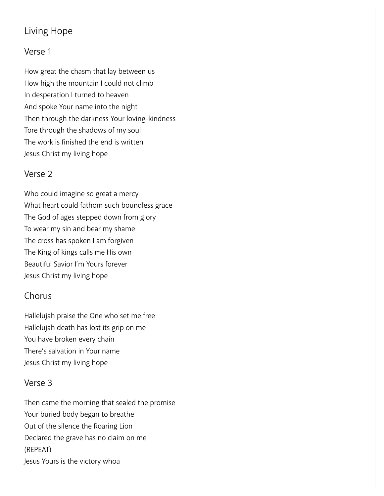# Living Hope

#### Verse 1

How great the chasm that lay between us How high the mountain I could not climb In desperation I turned to heaven And spoke Your name into the night Then through the darkness Your loving-kindness Tore through the shadows of my soul The work is finished the end is written Jesus Christ my living hope

#### Verse 2

Who could imagine so great a mercy What heart could fathom such boundless grace The God of ages stepped down from glory To wear my sin and bear my shame The cross has spoken I am forgiven The King of kings calls me His own Beautiful Savior I'm Yours forever Jesus Christ my living hope

### Chorus

Hallelujah praise the One who set me free Hallelujah death has lost its grip on me You have broken every chain There's salvation in Your name Jesus Christ my living hope

### Verse 3

Then came the morning that sealed the promise Your buried body began to breathe Out of the silence the Roaring Lion Declared the grave has no claim on me (REPEAT) Jesus Yours is the victory whoa